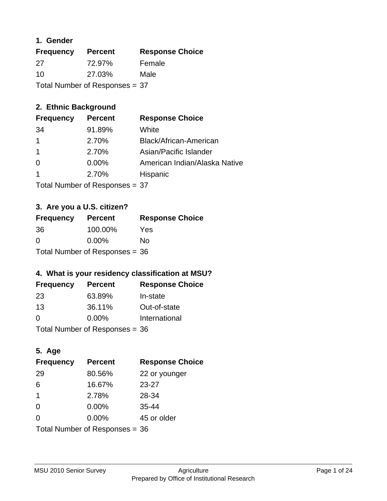### **1. Gender**

| <b>Frequency</b> | <b>Percent</b>                 | <b>Response Choice</b> |
|------------------|--------------------------------|------------------------|
| 27               | 72.97%                         | Female                 |
| 10               | 27.03%                         | Male                   |
|                  | Total Number of Responses = 37 |                        |

# **2. Ethnic Background**

| <b>Frequency</b> | <b>Percent</b> | <b>Response Choice</b>        |
|------------------|----------------|-------------------------------|
| 34               | 91.89%         | White                         |
|                  | 2.70%          | Black/African-American        |
|                  | 2.70%          | Asian/Pacific Islander        |
| $\Omega$         | 0.00%          | American Indian/Alaska Native |
|                  | 2.70%          | Hispanic                      |
|                  |                |                               |

Total Number of Responses = 37

# **3. Are you a U.S. citizen?**

| <b>Frequency</b>                 | <b>Percent</b> | <b>Response Choice</b> |
|----------------------------------|----------------|------------------------|
| 36                               | 100.00%        | Yes                    |
| $\Omega$                         | $0.00\%$       | Nο                     |
| Total Number of Responses = $36$ |                |                        |

# **4. What is your residency classification at MSU?**

| <b>Frequency</b> | <b>Percent</b> | <b>Response Choice</b> |
|------------------|----------------|------------------------|
| 23               | 63.89%         | In-state               |
| 13               | 36.11%         | Out-of-state           |
| $\Omega$         | $0.00\%$       | International          |
|                  |                |                        |

Total Number of Responses = 36

# **5. Age**

| <b>Frequency</b>               | <b>Percent</b> | <b>Response Choice</b> |
|--------------------------------|----------------|------------------------|
| 29                             | 80.56%         | 22 or younger          |
| 6                              | 16.67%         | $23 - 27$              |
| $\overline{1}$                 | 2.78%          | 28-34                  |
| $\Omega$                       | 0.00%          | $35 - 44$              |
| 0                              | 0.00%          | 45 or older            |
| Total Number of Responses = 36 |                |                        |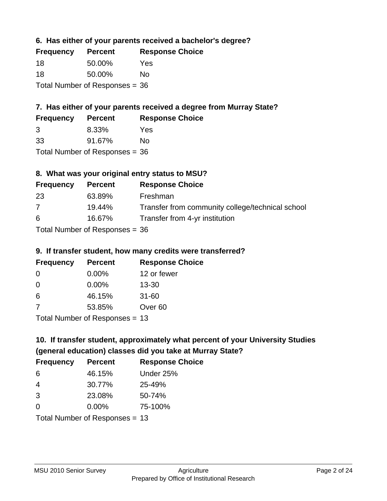### **6. Has either of your parents received a bachelor's degree?**

| <b>Frequency</b>                 | <b>Percent</b> | <b>Response Choice</b> |
|----------------------------------|----------------|------------------------|
| 18                               | 50.00%         | Yes                    |
| 18                               | 50.00%         | Nο                     |
| Total Number of Responses = $36$ |                |                        |

# **7. Has either of your parents received a degree from Murray State?**

| <b>Frequency</b> | <b>Percent</b> | <b>Response Choice</b> |
|------------------|----------------|------------------------|
| -3               | 8.33%          | Yes.                   |
| 33               | 91.67%         | No                     |

Total Number of Responses = 36

# **8. What was your original entry status to MSU?**

| <b>Frequency</b> | <b>Percent</b>                   | <b>Response Choice</b>                           |
|------------------|----------------------------------|--------------------------------------------------|
| 23               | 63.89%                           | Freshman                                         |
| 7                | 19.44%                           | Transfer from community college/technical school |
| 6                | 16.67%                           | Transfer from 4-yr institution                   |
|                  | Total Number of Responses $=$ 36 |                                                  |

#### **9. If transfer student, how many credits were transferred?**

| <b>Frequency</b>                 | <b>Percent</b> | <b>Response Choice</b> |
|----------------------------------|----------------|------------------------|
| -0                               | $0.00\%$       | 12 or fewer            |
| -0                               | 0.00%          | $13 - 30$              |
| 6                                | 46.15%         | $31 - 60$              |
| -7                               | 53.85%         | Over <sub>60</sub>     |
| $Total Number of Doepopose = 12$ |                |                        |

Total Number of Responses = 13

# **10. If transfer student, approximately what percent of your University Studies (general education) classes did you take at Murray State?**

| <b>Frequency</b>               | <b>Percent</b> | <b>Response Choice</b> |
|--------------------------------|----------------|------------------------|
| -6                             | 46.15%         | Under 25%              |
| -4                             | 30.77%         | 25-49%                 |
| 3                              | 23.08%         | 50-74%                 |
| $\Omega$                       | 0.00%          | 75-100%                |
| Total Number of Responses = 13 |                |                        |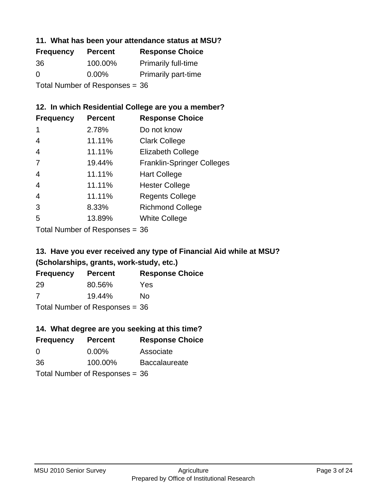#### **11. What has been your attendance status at MSU?**

| <b>Frequency</b>               | <b>Percent</b> | <b>Response Choice</b>     |
|--------------------------------|----------------|----------------------------|
| 36                             | 100.00%        | <b>Primarily full-time</b> |
| $\Omega$                       | $0.00\%$       | <b>Primarily part-time</b> |
| Total Number of Responses = 36 |                |                            |

# **12. In which Residential College are you a member?**

| <b>Frequency</b> | <b>Percent</b> | <b>Response Choice</b>            |
|------------------|----------------|-----------------------------------|
| 1                | 2.78%          | Do not know                       |
| 4                | 11.11%         | <b>Clark College</b>              |
| 4                | 11.11%         | <b>Elizabeth College</b>          |
| 7                | 19.44%         | <b>Franklin-Springer Colleges</b> |
| 4                | 11.11%         | <b>Hart College</b>               |
| $\overline{4}$   | 11.11%         | <b>Hester College</b>             |
| 4                | 11.11%         | <b>Regents College</b>            |
| 3                | 8.33%          | <b>Richmond College</b>           |
| 5                | 13.89%         | <b>White College</b>              |
|                  |                |                                   |

Total Number of Responses = 36

### **13. Have you ever received any type of Financial Aid while at MSU? (Scholarships, grants, work-study, etc.)**

| <b>Frequency</b> | Percent                          | <b>Response Choice</b> |
|------------------|----------------------------------|------------------------|
| 29               | 80.56%                           | Yes                    |
| 7                | 19.44%                           | Nο                     |
|                  | Total Number of Responses = $36$ |                        |

# **14. What degree are you seeking at this time?**

| <b>Frequency</b> | <b>Percent</b>                 | <b>Response Choice</b> |
|------------------|--------------------------------|------------------------|
| 0                | $0.00\%$                       | Associate              |
| 36               | 100.00%                        | <b>Baccalaureate</b>   |
|                  | Total Number of Responses = 36 |                        |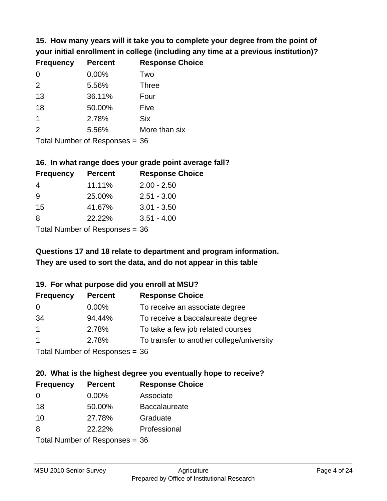**15. How many years will it take you to complete your degree from the point of your initial enrollment in college (including any time at a previous institution)?**

| <b>Frequency</b> | <b>Percent</b> | <b>Response Choice</b> |
|------------------|----------------|------------------------|
| $\Omega$         | 0.00%          | Two                    |
| 2                | 5.56%          | <b>Three</b>           |
| 13               | 36.11%         | Four                   |
| 18               | 50.00%         | Five                   |
| 1                | 2.78%          | <b>Six</b>             |
| 2                | 5.56%          | More than six          |
|                  |                |                        |

Total Number of Responses = 36

#### **16. In what range does your grade point average fall?**

| <b>Frequency</b> | <b>Percent</b> | <b>Response Choice</b> |
|------------------|----------------|------------------------|
| -4               | 11.11%         | $2.00 - 2.50$          |
| 9                | 25.00%         | $2.51 - 3.00$          |
| 15               | 41.67%         | $3.01 - 3.50$          |
| 8                | 22.22%         | $3.51 - 4.00$          |
|                  |                |                        |

Total Number of Responses = 36

# **They are used to sort the data, and do not appear in this table Questions 17 and 18 relate to department and program information.**

#### **19. For what purpose did you enroll at MSU?**

| <b>Frequency</b> | <b>Percent</b>             | <b>Response Choice</b>                    |
|------------------|----------------------------|-------------------------------------------|
| 0                | $0.00\%$                   | To receive an associate degree            |
| 34               | 94.44%                     | To receive a baccalaureate degree         |
| $\overline{1}$   | 2.78%                      | To take a few job related courses         |
| $\overline{1}$   | 2.78%                      | To transfer to another college/university |
|                  | Total Number of DoEROR 222 |                                           |

Total Number of Responses = 36

# **20. What is the highest degree you eventually hope to receive?**

| <b>Frequency</b> | <b>Percent</b>                 | <b>Response Choice</b> |
|------------------|--------------------------------|------------------------|
| 0                | $0.00\%$                       | Associate              |
| 18               | 50.00%                         | <b>Baccalaureate</b>   |
| 10               | 27.78%                         | Graduate               |
| 8                | 22.22%                         | Professional           |
|                  | Total Number of Responses = 36 |                        |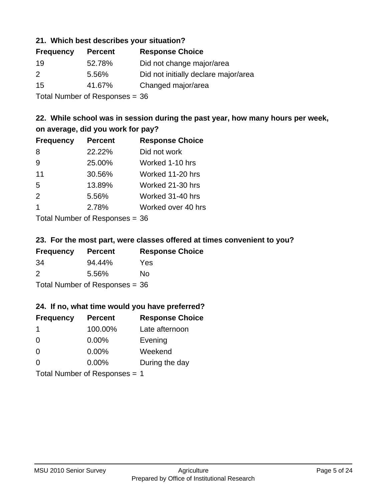#### **21. Which best describes your situation?**

| <b>Frequency</b> | <b>Percent</b> | <b>Response Choice</b>               |
|------------------|----------------|--------------------------------------|
| -19              | 52.78%         | Did not change major/area            |
| $\mathcal{P}$    | 5.56%          | Did not initially declare major/area |
| 15               | 41.67%         | Changed major/area                   |
|                  |                |                                      |

Total Number of Responses = 36

# **22. While school was in session during the past year, how many hours per week, on average, did you work for pay?**

| <b>Frequency</b> | <b>Percent</b> | <b>Response Choice</b> |
|------------------|----------------|------------------------|
| 8                | 22.22%         | Did not work           |
| 9                | 25.00%         | Worked 1-10 hrs        |
| 11               | 30.56%         | Worked 11-20 hrs       |
| 5                | 13.89%         | Worked 21-30 hrs       |
| 2                | 5.56%          | Worked 31-40 hrs       |
| 1                | 2.78%          | Worked over 40 hrs     |
|                  |                |                        |

Total Number of Responses = 36

#### **23. For the most part, were classes offered at times convenient to you?**

| <b>Frequency</b>                 | <b>Percent</b> | <b>Response Choice</b> |
|----------------------------------|----------------|------------------------|
| -34                              | 94.44%         | Yes                    |
| $\mathcal{P}$                    | 5.56%          | No.                    |
| Total Number of Responses = $36$ |                |                        |

#### **24. If no, what time would you have preferred?**

| <b>Frequency</b>              | <b>Percent</b> | <b>Response Choice</b> |
|-------------------------------|----------------|------------------------|
| -1                            | 100.00%        | Late afternoon         |
| $\Omega$                      | 0.00%          | Evening                |
| 0                             | $0.00\%$       | Weekend                |
| $\Omega$                      | $0.00\%$       | During the day         |
| Total Number of Responses = 1 |                |                        |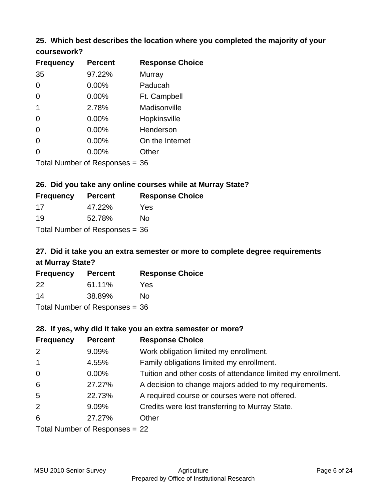# **25. Which best describes the location where you completed the majority of your**

| coursework? |  |
|-------------|--|
|-------------|--|

| <b>Frequency</b> | <b>Percent</b>                   | <b>Response Choice</b> |
|------------------|----------------------------------|------------------------|
| 35               | 97.22%                           | Murray                 |
| 0                | $0.00\%$                         | Paducah                |
| 0                | 0.00%                            | Ft. Campbell           |
| 1                | 2.78%                            | Madisonville           |
| 0                | $0.00\%$                         | Hopkinsville           |
| 0                | 0.00%                            | Henderson              |
| 0                | 0.00%                            | On the Internet        |
| 0                | 0.00%                            | Other                  |
|                  | Total Number of Responses $=$ 36 |                        |

# **26. Did you take any online courses while at Murray State?**

| <b>Frequency</b>                 | <b>Percent</b> | <b>Response Choice</b> |
|----------------------------------|----------------|------------------------|
| 17                               | 47.22%         | Yes                    |
| 19                               | 52.78%         | No                     |
| Total Number of Responses = $36$ |                |                        |

# **27. Did it take you an extra semester or more to complete degree requirements at Murray State?**

| <b>Frequency</b> | <b>Percent</b>                   | <b>Response Choice</b> |
|------------------|----------------------------------|------------------------|
| 22               | 61.11%                           | Yes                    |
| 14               | 38.89%                           | No                     |
|                  | Total Number of Responses = $36$ |                        |

#### **28. If yes, why did it take you an extra semester or more?**

| <b>Frequency</b>               | <b>Percent</b> | <b>Response Choice</b>                                       |
|--------------------------------|----------------|--------------------------------------------------------------|
| 2                              | 9.09%          | Work obligation limited my enrollment.                       |
| $\overline{1}$                 | 4.55%          | Family obligations limited my enrollment.                    |
| $\mathbf 0$                    | $0.00\%$       | Tuition and other costs of attendance limited my enrollment. |
| 6                              | 27.27%         | A decision to change majors added to my requirements.        |
| $5\phantom{.0}$                | 22.73%         | A required course or courses were not offered.               |
| 2                              | 9.09%          | Credits were lost transferring to Murray State.              |
| 6                              | 27.27%         | Other                                                        |
| Total Number of Responses = 22 |                |                                                              |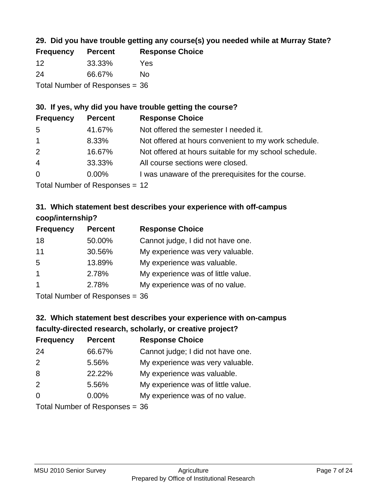# **29. Did you have trouble getting any course(s) you needed while at Murray State?**

| <b>Frequency</b>                 | <b>Percent</b> | <b>Response Choice</b> |
|----------------------------------|----------------|------------------------|
| -12                              | 33.33%         | Yes                    |
| -24                              | 66.67%         | Nο                     |
| Total Number of Responses $= 36$ |                |                        |

#### **30. If yes, why did you have trouble getting the course?**

| <b>Frequency</b> | <b>Percent</b> | <b>Response Choice</b>                                |
|------------------|----------------|-------------------------------------------------------|
| -5               | 41.67%         | Not offered the semester I needed it.                 |
| $\overline{1}$   | 8.33%          | Not offered at hours convenient to my work schedule.  |
| 2                | 16.67%         | Not offered at hours suitable for my school schedule. |
| $\overline{4}$   | 33.33%         | All course sections were closed.                      |
| $\overline{0}$   | $0.00\%$       | I was unaware of the prerequisites for the course.    |
|                  |                |                                                       |

Total Number of Responses = 12

# **31. Which statement best describes your experience with off-campus coop/internship?**

| <b>Frequency</b> | <b>Percent</b> | <b>Response Choice</b>             |
|------------------|----------------|------------------------------------|
| 18               | 50.00%         | Cannot judge, I did not have one.  |
| 11               | 30.56%         | My experience was very valuable.   |
| 5                | 13.89%         | My experience was valuable.        |
| $\overline{1}$   | 2.78%          | My experience was of little value. |
| $\overline{1}$   | 2.78%          | My experience was of no value.     |
|                  |                |                                    |

Total Number of Responses = 36

# **32. Which statement best describes your experience with on-campus faculty-directed research, scholarly, or creative project?**

| <b>Frequency</b> | <b>Percent</b>                | <b>Response Choice</b>             |
|------------------|-------------------------------|------------------------------------|
| 24               | 66.67%                        | Cannot judge; I did not have one.  |
| 2                | 5.56%                         | My experience was very valuable.   |
| 8                | 22.22%                        | My experience was valuable.        |
| 2                | 5.56%                         | My experience was of little value. |
| $\Omega$         | 0.00%                         | My experience was of no value.     |
|                  | Total Number of Deconomers 26 |                                    |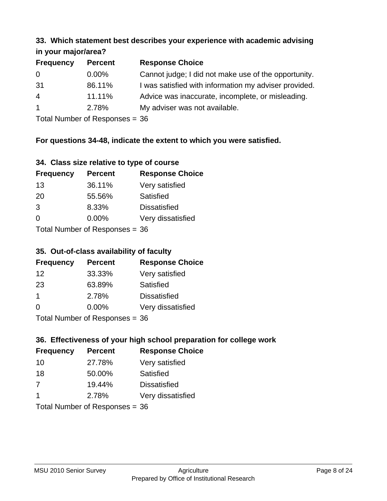#### **33. Which statement best describes your experience with academic advising in your major/area?**

| $\cdots$ your mapping out |                |                                                       |
|---------------------------|----------------|-------------------------------------------------------|
| <b>Frequency</b>          | <b>Percent</b> | <b>Response Choice</b>                                |
| 0                         | $0.00\%$       | Cannot judge; I did not make use of the opportunity.  |
| 31                        | 86.11%         | I was satisfied with information my adviser provided. |
| $\overline{4}$            | 11.11%         | Advice was inaccurate, incomplete, or misleading.     |
| $\mathbf{1}$              | 2.78%          | My adviser was not available.                         |
|                           |                |                                                       |

Total Number of Responses = 36

# **For questions 34-48, indicate the extent to which you were satisfied.**

#### **34. Class size relative to type of course**

| <b>Frequency</b> | <b>Percent</b>                  | <b>Response Choice</b> |
|------------------|---------------------------------|------------------------|
| 13               | 36.11%                          | Very satisfied         |
| -20              | 55.56%                          | Satisfied              |
| 3                | 8.33%                           | <b>Dissatisfied</b>    |
| $\Omega$         | $0.00\%$                        | Very dissatisfied      |
|                  | Total Number of Responses $-36$ |                        |

I otal Number of Responses  $=$  36

# **35. Out-of-class availability of faculty**

| <b>Frequency</b>          | <b>Percent</b> | <b>Response Choice</b> |
|---------------------------|----------------|------------------------|
| 12                        | 33.33%         | Very satisfied         |
| 23                        | 63.89%         | Satisfied              |
| $\mathbf 1$               | 2.78%          | <b>Dissatisfied</b>    |
| $\Omega$                  | 0.00%          | Very dissatisfied      |
| Total Number of Desponses |                |                        |

Total Number of Responses = 36

# **36. Effectiveness of your high school preparation for college work**

| <b>Frequency</b>        | <b>Percent</b>                 | <b>Response Choice</b> |
|-------------------------|--------------------------------|------------------------|
| 10                      | 27.78%                         | Very satisfied         |
| 18                      | 50.00%                         | Satisfied              |
| 7                       | 19.44%                         | <b>Dissatisfied</b>    |
| $\overline{\mathbf{1}}$ | 2.78%                          | Very dissatisfied      |
|                         | Total Number of Responses = 36 |                        |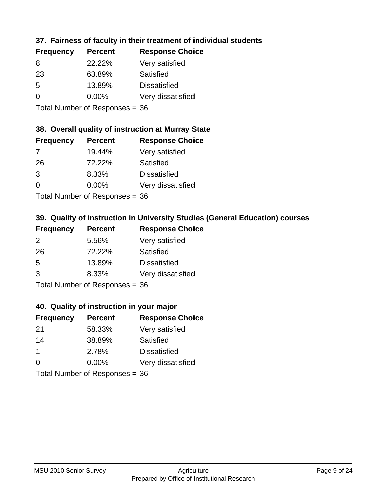# **37. Fairness of faculty in their treatment of individual students**

| <b>Frequency</b> | <b>Percent</b> | <b>Response Choice</b> |
|------------------|----------------|------------------------|
| 8                | 22.22%         | Very satisfied         |
| 23               | 63.89%         | Satisfied              |
| 5                | 13.89%         | <b>Dissatisfied</b>    |
| 0                | 0.00%          | Very dissatisfied      |
|                  |                |                        |

Total Number of Responses = 36

#### **38. Overall quality of instruction at Murray State**

| <b>Frequency</b> | <b>Percent</b>             | <b>Response Choice</b> |
|------------------|----------------------------|------------------------|
| 7                | 19.44%                     | Very satisfied         |
| 26               | 72.22%                     | Satisfied              |
| 3                | 8.33%                      | <b>Dissatisfied</b>    |
| $\Omega$         | 0.00%                      | Very dissatisfied      |
|                  | Tatal Number of Desperance |                        |

Total Number of Responses = 36

# **39. Quality of instruction in University Studies (General Education) courses**

| <b>Frequency</b> | <b>Percent</b>                 | <b>Response Choice</b> |
|------------------|--------------------------------|------------------------|
| $\mathcal{P}$    | 5.56%                          | Very satisfied         |
| 26               | 72.22%                         | Satisfied              |
| 5                | 13.89%                         | <b>Dissatisfied</b>    |
| 3                | 8.33%                          | Very dissatisfied      |
|                  | Total Number of Responses = 36 |                        |

#### **40. Quality of instruction in your major**

| <b>Frequency</b> | <b>Percent</b>            | <b>Response Choice</b> |
|------------------|---------------------------|------------------------|
| 21               | 58.33%                    | Very satisfied         |
| 14               | 38.89%                    | Satisfied              |
| $\mathbf 1$      | 2.78%                     | <b>Dissatisfied</b>    |
| $\Omega$         | 0.00%                     | Very dissatisfied      |
|                  | Total Number of Desponses |                        |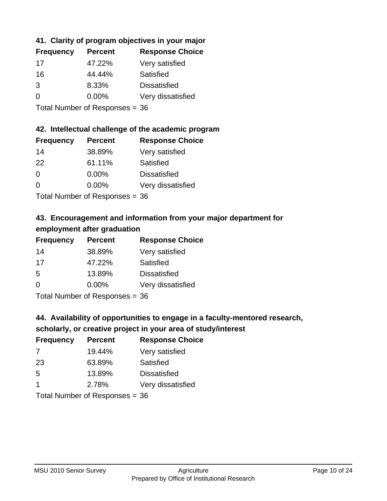# **41. Clarity of program objectives in your major**

| <b>Frequency</b> | <b>Percent</b> | <b>Response Choice</b> |
|------------------|----------------|------------------------|
| 17               | 47.22%         | Very satisfied         |
| 16               | 44.44%         | Satisfied              |
| 3                | 8.33%          | <b>Dissatisfied</b>    |
| 0                | $0.00\%$       | Very dissatisfied      |
|                  |                |                        |

Total Number of Responses = 36

#### **42. Intellectual challenge of the academic program**

| <b>Frequency</b> | <b>Percent</b> | <b>Response Choice</b> |
|------------------|----------------|------------------------|
| 14               | 38.89%         | Very satisfied         |
| 22               | 61.11%         | Satisfied              |
| $\Omega$         | $0.00\%$       | <b>Dissatisfied</b>    |
| ∩                | 0.00%          | Very dissatisfied      |
|                  |                |                        |

Total Number of Responses = 36

# **43. Encouragement and information from your major department for employment after graduation**

| <b>Frequency</b> | <b>Percent</b> | <b>Response Choice</b> |
|------------------|----------------|------------------------|
| 14               | 38.89%         | Very satisfied         |
| 17               | 47.22%         | Satisfied              |
| 5                | 13.89%         | <b>Dissatisfied</b>    |
| 0                | 0.00%          | Very dissatisfied      |
|                  |                |                        |

Total Number of Responses = 36

# **44. Availability of opportunities to engage in a faculty-mentored research,**

# **scholarly, or creative project in your area of study/interest**

| <b>Frequency</b> | <b>Percent</b> | <b>Response Choice</b> |
|------------------|----------------|------------------------|
| 7                | 19.44%         | Very satisfied         |
| 23               | 63.89%         | Satisfied              |
| .5               | 13.89%         | <b>Dissatisfied</b>    |
|                  | 2.78%          | Very dissatisfied      |
|                  |                |                        |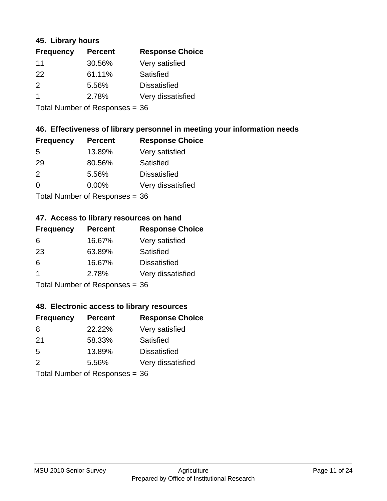#### **45. Library hours**

| <b>Frequency</b>     | <b>Percent</b> | <b>Response Choice</b> |
|----------------------|----------------|------------------------|
| 11                   | 30.56%         | Very satisfied         |
| 22                   | 61.11%         | Satisfied              |
| $\mathcal{P}$        | 5.56%          | <b>Dissatisfied</b>    |
| $\blacktriangleleft$ | 2.78%          | Very dissatisfied      |
|                      |                |                        |

Total Number of Responses = 36

# **46. Effectiveness of library personnel in meeting your information needs**

| <b>Frequency</b> | <b>Percent</b> | <b>Response Choice</b> |
|------------------|----------------|------------------------|
| .5               | 13.89%         | Very satisfied         |
| 29               | 80.56%         | Satisfied              |
| $\mathcal{P}$    | 5.56%          | <b>Dissatisfied</b>    |
| ∩                | 0.00%          | Very dissatisfied      |
|                  |                |                        |

Total Number of Responses = 36

# **47. Access to library resources on hand**

| <b>Frequency</b> | <b>Percent</b>                 | <b>Response Choice</b> |
|------------------|--------------------------------|------------------------|
| 6                | 16.67%                         | Very satisfied         |
| 23               | 63.89%                         | Satisfied              |
| 6                | 16.67%                         | <b>Dissatisfied</b>    |
| -1               | 2.78%                          | Very dissatisfied      |
|                  | Total Number of Responses = 36 |                        |

#### **48. Electronic access to library resources**

| <b>Frequency</b> | <b>Percent</b>                 | <b>Response Choice</b> |
|------------------|--------------------------------|------------------------|
| 8                | 22.22%                         | Very satisfied         |
| 21               | 58.33%                         | Satisfied              |
| 5                | 13.89%                         | <b>Dissatisfied</b>    |
| 2                | 5.56%                          | Very dissatisfied      |
|                  | Total Number of Responses = 36 |                        |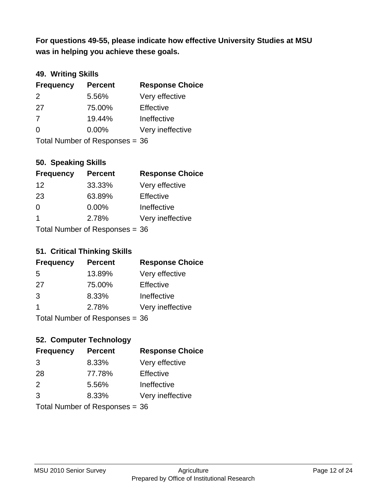**was in helping you achieve these goals. For questions 49-55, please indicate how effective University Studies at MSU** 

# **49. Writing Skills**

| <b>Frequency</b> | <b>Percent</b>                 | <b>Response Choice</b> |
|------------------|--------------------------------|------------------------|
| $\mathcal{P}$    | 5.56%                          | Very effective         |
| 27               | 75.00%                         | Effective              |
| 7                | 19.44%                         | Ineffective            |
| $\Omega$         | $0.00\%$                       | Very ineffective       |
|                  | Total Number of Responses = 36 |                        |

#### **50. Speaking Skills**

| <b>Frequency</b>               | <b>Percent</b> | <b>Response Choice</b> |
|--------------------------------|----------------|------------------------|
| 12                             | 33.33%         | Very effective         |
| 23                             | 63.89%         | Effective              |
| $\Omega$                       | 0.00%          | Ineffective            |
| $\overline{\mathbf{1}}$        | 2.78%          | Very ineffective       |
| Total Number of Recnonces - 36 |                |                        |

Total Number of Responses = 36

#### **51. Critical Thinking Skills**

| <b>Frequency</b> | <b>Percent</b>                 | <b>Response Choice</b> |
|------------------|--------------------------------|------------------------|
| -5               | 13.89%                         | Very effective         |
| 27               | 75.00%                         | Effective              |
| 3                | 8.33%                          | Ineffective            |
| -1               | 2.78%                          | Very ineffective       |
|                  | Total Number of Poenonces - 36 |                        |

Total Number of Responses = 36

# **52. Computer Technology**

| <b>Frequency</b> | <b>Percent</b>                 | <b>Response Choice</b> |
|------------------|--------------------------------|------------------------|
| 3                | 8.33%                          | Very effective         |
| 28               | 77.78%                         | Effective              |
| 2                | 5.56%                          | Ineffective            |
| 3                | 8.33%                          | Very ineffective       |
|                  | Total Number of Responses = 36 |                        |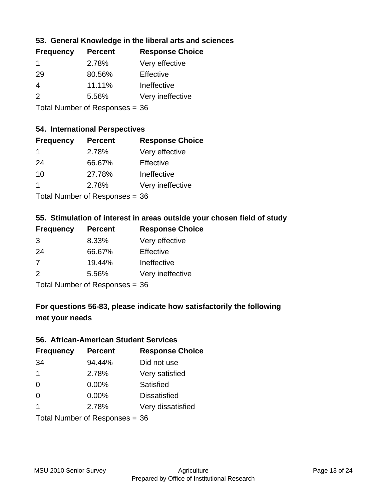### **53. General Knowledge in the liberal arts and sciences**

| <b>Frequency</b> | <b>Percent</b> | <b>Response Choice</b> |
|------------------|----------------|------------------------|
| -1               | 2.78%          | Very effective         |
| 29               | 80.56%         | Effective              |
| 4                | 11.11%         | Ineffective            |
| $\mathcal{P}$    | 5.56%          | Very ineffective       |
|                  |                |                        |

Total Number of Responses = 36

#### **54. International Perspectives**

| <b>Frequency</b> | <b>Percent</b>            | <b>Response Choice</b> |
|------------------|---------------------------|------------------------|
| -1               | 2.78%                     | Very effective         |
| 24               | 66.67%                    | Effective              |
| 10               | 27.78%                    | Ineffective            |
| 1                | 2.78%                     | Very ineffective       |
|                  | Total Number of Deepersoo |                        |

Total Number of Responses = 36

# **55. Stimulation of interest in areas outside your chosen field of study**

| <b>Frequency</b>               | <b>Percent</b> | <b>Response Choice</b> |
|--------------------------------|----------------|------------------------|
| 3                              | 8.33%          | Very effective         |
| 24                             | 66.67%         | Effective              |
| 7                              | 19.44%         | Ineffective            |
| $\mathcal{P}$                  | 5.56%          | Very ineffective       |
| Total Number of Responses = 36 |                |                        |

# **For questions 56-83, please indicate how satisfactorily the following met your needs**

#### **56. African-American Student Services**

| <b>Frequency</b> | <b>Percent</b>                 | <b>Response Choice</b> |
|------------------|--------------------------------|------------------------|
| 34               | 94.44%                         | Did not use            |
| $\mathbf 1$      | 2.78%                          | Very satisfied         |
| 0                | 0.00%                          | Satisfied              |
| $\Omega$         | $0.00\%$                       | <b>Dissatisfied</b>    |
| $\mathbf 1$      | 2.78%                          | Very dissatisfied      |
|                  | Total Number of Responses = 36 |                        |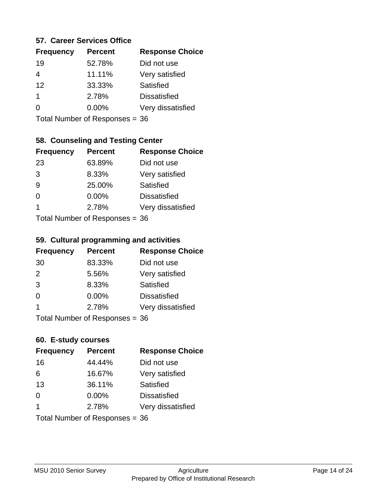#### **57. Career Services Office**

| <b>Frequency</b> | <b>Percent</b> | <b>Response Choice</b> |
|------------------|----------------|------------------------|
| 19               | 52.78%         | Did not use            |
|                  | 11.11%         | Very satisfied         |
| 12               | 33.33%         | Satisfied              |
|                  | 2.78%          | <b>Dissatisfied</b>    |
|                  | $0.00\%$       | Very dissatisfied      |
|                  |                |                        |

Total Number of Responses = 36

# **58. Counseling and Testing Center**

| <b>Frequency</b> | <b>Percent</b>            | <b>Response Choice</b> |
|------------------|---------------------------|------------------------|
| 23               | 63.89%                    | Did not use            |
| 3                | 8.33%                     | Very satisfied         |
| 9                | 25.00%                    | <b>Satisfied</b>       |
| 0                | 0.00%                     | <b>Dissatisfied</b>    |
| 1                | 2.78%                     | Very dissatisfied      |
|                  | Total Number of Deepersee |                        |

Total Number of Responses = 36

#### **59. Cultural programming and activities**

| <b>Frequency</b>               | <b>Percent</b> | <b>Response Choice</b> |
|--------------------------------|----------------|------------------------|
| 30                             | 83.33%         | Did not use            |
| 2                              | 5.56%          | Very satisfied         |
| 3                              | 8.33%          | Satisfied              |
| $\Omega$                       | $0.00\%$       | <b>Dissatisfied</b>    |
| 1                              | 2.78%          | Very dissatisfied      |
| Total Number of Responses = 36 |                |                        |

#### **60. E-study courses**

| <b>Frequency</b> | <b>Percent</b>                 | <b>Response Choice</b> |
|------------------|--------------------------------|------------------------|
| 16               | 44.44%                         | Did not use            |
| 6                | 16.67%                         | Very satisfied         |
| 13               | 36.11%                         | Satisfied              |
| $\Omega$         | $0.00\%$                       | <b>Dissatisfied</b>    |
| $\mathbf 1$      | 2.78%                          | Very dissatisfied      |
|                  | Total Number of Responses = 36 |                        |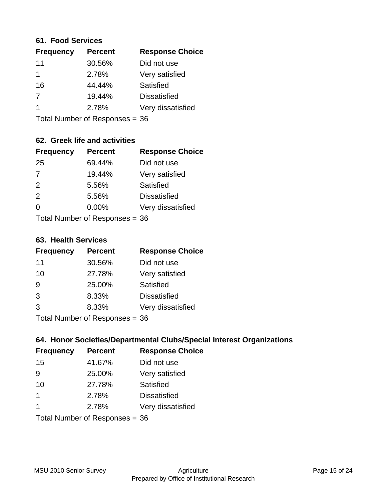#### **61. Food Services**

| <b>Frequency</b> | <b>Percent</b> | <b>Response Choice</b> |
|------------------|----------------|------------------------|
| 11               | 30.56%         | Did not use            |
|                  | 2.78%          | Very satisfied         |
| 16               | 44.44%         | Satisfied              |
| 7                | 19.44%         | <b>Dissatisfied</b>    |
|                  | 2.78%          | Very dissatisfied      |
|                  |                |                        |

Total Number of Responses = 36

# **62. Greek life and activities**

| <b>Frequency</b> | <b>Percent</b>                 | <b>Response Choice</b> |
|------------------|--------------------------------|------------------------|
| 25               | 69.44%                         | Did not use            |
| $\overline{7}$   | 19.44%                         | Very satisfied         |
| 2                | 5.56%                          | <b>Satisfied</b>       |
| 2                | 5.56%                          | <b>Dissatisfied</b>    |
| 0                | $0.00\%$                       | Very dissatisfied      |
|                  | Total Number of Responses = 36 |                        |

**63. Health Services**

| <b>Frequency</b> | <b>Percent</b>            | <b>Response Choice</b> |
|------------------|---------------------------|------------------------|
| 11               | 30.56%                    | Did not use            |
| 10               | 27.78%                    | Very satisfied         |
| 9                | 25.00%                    | Satisfied              |
| 3                | 8.33%                     | <b>Dissatisfied</b>    |
| 3                | 8.33%                     | Very dissatisfied      |
|                  | Total Number of Deepersee |                        |

Total Number of Responses = 36

### **64. Honor Societies/Departmental Clubs/Special Interest Organizations**

| <b>Frequency</b> | <b>Percent</b>                 | <b>Response Choice</b> |
|------------------|--------------------------------|------------------------|
| 15               | 41.67%                         | Did not use            |
| 9                | 25.00%                         | Very satisfied         |
| 10               | 27.78%                         | Satisfied              |
| $\mathbf 1$      | 2.78%                          | <b>Dissatisfied</b>    |
| $\mathbf 1$      | 2.78%                          | Very dissatisfied      |
|                  | Total Number of Responses = 36 |                        |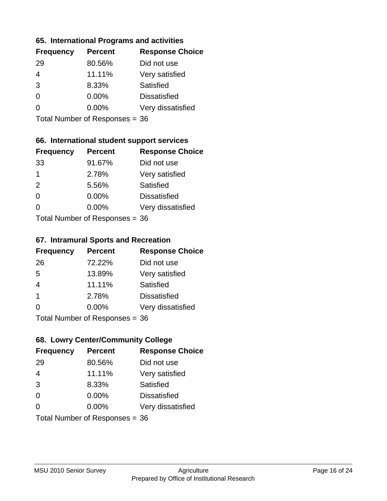#### **65. International Programs and activities**

| <b>Frequency</b> | <b>Percent</b> | <b>Response Choice</b> |
|------------------|----------------|------------------------|
| 29               | 80.56%         | Did not use            |
| 4                | 11.11%         | Very satisfied         |
| 3                | 8.33%          | Satisfied              |
| $\Omega$         | 0.00%          | <b>Dissatisfied</b>    |
|                  | $0.00\%$       | Very dissatisfied      |
|                  |                |                        |

Total Number of Responses = 36

# **66. International student support services**

| <b>Frequency</b> | <b>Percent</b>            | <b>Response Choice</b> |
|------------------|---------------------------|------------------------|
| 33               | 91.67%                    | Did not use            |
| 1                | 2.78%                     | Very satisfied         |
| 2                | 5.56%                     | Satisfied              |
| $\Omega$         | 0.00%                     | <b>Dissatisfied</b>    |
| $\Omega$         | 0.00%                     | Very dissatisfied      |
|                  | Total Number of Deepersee |                        |

Total Number of Responses = 36

#### **67. Intramural Sports and Recreation**

| <b>Frequency</b> | <b>Percent</b>               | <b>Response Choice</b> |
|------------------|------------------------------|------------------------|
| 26               | 72.22%                       | Did not use            |
| 5                | 13.89%                       | Very satisfied         |
| $\overline{4}$   | 11.11%                       | Satisfied              |
| -1               | 2.78%                        | <b>Dissatisfied</b>    |
| $\Omega$         | 0.00%                        | Very dissatisfied      |
|                  | $Total Number of Denonce 26$ |                        |

Total Number of Responses = 36

# **68. Lowry Center/Community College**

| <b>Frequency</b> | <b>Percent</b>                 | <b>Response Choice</b> |
|------------------|--------------------------------|------------------------|
| 29               | 80.56%                         | Did not use            |
| $\overline{4}$   | 11.11%                         | Very satisfied         |
| 3                | 8.33%                          | Satisfied              |
| $\Omega$         | 0.00%                          | <b>Dissatisfied</b>    |
| $\Omega$         | $0.00\%$                       | Very dissatisfied      |
|                  | Total Number of Responses = 36 |                        |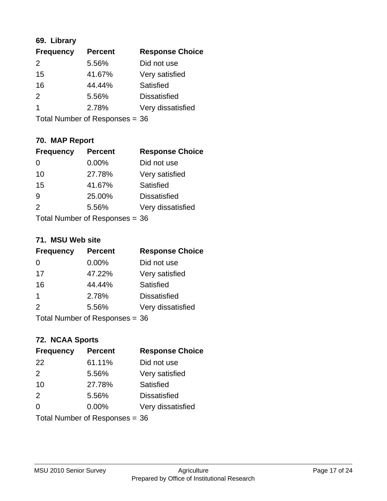# **69. Library**

| <b>Frequency</b> | <b>Percent</b> | <b>Response Choice</b> |
|------------------|----------------|------------------------|
| 2                | 5.56%          | Did not use            |
| 15               | 41.67%         | Very satisfied         |
| 16               | 44.44%         | Satisfied              |
| $\mathcal{P}$    | 5.56%          | <b>Dissatisfied</b>    |
|                  | 2.78%          | Very dissatisfied      |
|                  |                |                        |

Total Number of Responses = 36

# **70. MAP Report**

| <b>Frequency</b> | <b>Percent</b>                 | <b>Response Choice</b> |
|------------------|--------------------------------|------------------------|
|                  | 0.00%                          | Did not use            |
| 10               | 27.78%                         | Very satisfied         |
| 15               | 41.67%                         | Satisfied              |
| 9                | 25.00%                         | <b>Dissatisfied</b>    |
| 2                | 5.56%                          | Very dissatisfied      |
|                  | Total Number of Responses = 36 |                        |

#### **71. MSU Web site**

| <b>Frequency</b> | <b>Percent</b>                 | <b>Response Choice</b> |
|------------------|--------------------------------|------------------------|
| $\Omega$         | $0.00\%$                       | Did not use            |
| 17               | 47.22%                         | Very satisfied         |
| 16               | 44.44%                         | Satisfied              |
| 1                | 2.78%                          | <b>Dissatisfied</b>    |
| 2                | 5.56%                          | Very dissatisfied      |
|                  | Total Number of Responses = 36 |                        |

# **72. NCAA Sports**

| <b>Frequency</b> | <b>Percent</b>                 | <b>Response Choice</b> |
|------------------|--------------------------------|------------------------|
| 22               | 61.11%                         | Did not use            |
| 2                | 5.56%                          | Very satisfied         |
| 10               | 27.78%                         | Satisfied              |
| 2                | 5.56%                          | <b>Dissatisfied</b>    |
| $\Omega$         | 0.00%                          | Very dissatisfied      |
|                  | Total Number of Responses = 36 |                        |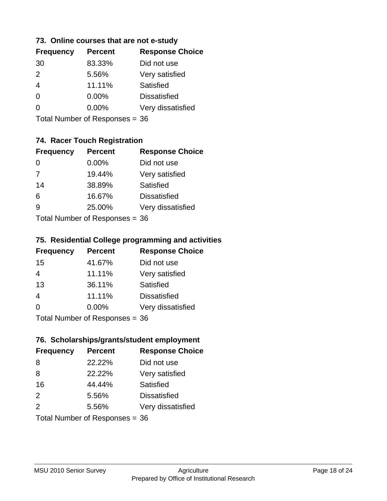#### **73. Online courses that are not e-study**

| <b>Frequency</b> | <b>Percent</b> | <b>Response Choice</b> |
|------------------|----------------|------------------------|
| 30               | 83.33%         | Did not use            |
| $\mathcal{P}$    | 5.56%          | Very satisfied         |
| 4                | 11.11%         | Satisfied              |
| 0                | $0.00\%$       | <b>Dissatisfied</b>    |
|                  | $0.00\%$       | Very dissatisfied      |
|                  |                |                        |

Total Number of Responses = 36

# **74. Racer Touch Registration**

| <b>Frequency</b>          | <b>Percent</b> | <b>Response Choice</b> |
|---------------------------|----------------|------------------------|
| $\Omega$                  | $0.00\%$       | Did not use            |
| $\overline{7}$            | 19.44%         | Very satisfied         |
| 14                        | 38.89%         | <b>Satisfied</b>       |
| 6                         | 16.67%         | <b>Dissatisfied</b>    |
| <u>g</u>                  | 25.00%         | Very dissatisfied      |
| Total Number of Desponses |                |                        |

Total Number of Responses = 36

#### **75. Residential College programming and activities**

| <b>Frequency</b>          | <b>Percent</b> | <b>Response Choice</b> |
|---------------------------|----------------|------------------------|
| 15                        | 41.67%         | Did not use            |
| 4                         | 11.11%         | Very satisfied         |
| 13                        | 36.11%         | Satisfied              |
| $\overline{4}$            | 11.11%         | <b>Dissatisfied</b>    |
| $\Omega$                  | 0.00%          | Very dissatisfied      |
| Total Number of Desponses |                |                        |

Total Number of Responses = 36

#### **76. Scholarships/grants/student employment**

| <b>Frequency</b>               | <b>Percent</b> | <b>Response Choice</b> |
|--------------------------------|----------------|------------------------|
| 8                              | 22.22%         | Did not use            |
| 8                              | 22.22%         | Very satisfied         |
| 16                             | 44.44%         | <b>Satisfied</b>       |
| 2                              | 5.56%          | <b>Dissatisfied</b>    |
| $\mathcal{P}$                  | 5.56%          | Very dissatisfied      |
| Total Number of Responses = 36 |                |                        |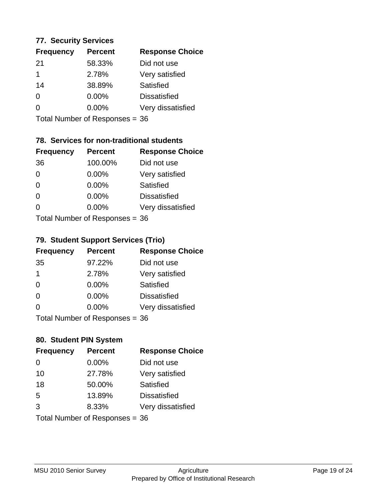#### **77. Security Services**

| <b>Frequency</b> | <b>Percent</b> | <b>Response Choice</b> |
|------------------|----------------|------------------------|
| -21              | 58.33%         | Did not use            |
|                  | 2.78%          | Very satisfied         |
| 14               | 38.89%         | Satisfied              |
| 0                | $0.00\%$       | <b>Dissatisfied</b>    |
| ∩                | $0.00\%$       | Very dissatisfied      |
|                  |                |                        |

Total Number of Responses = 36

# **78. Services for non-traditional students**

| <b>Frequency</b>          | <b>Percent</b> | <b>Response Choice</b> |
|---------------------------|----------------|------------------------|
| 36                        | 100.00%        | Did not use            |
| $\Omega$                  | 0.00%          | Very satisfied         |
| $\Omega$                  | 0.00%          | <b>Satisfied</b>       |
| $\Omega$                  | 0.00%          | <b>Dissatisfied</b>    |
| $\Omega$                  | 0.00%          | Very dissatisfied      |
| Total Number of Desponses |                |                        |

Total Number of Responses = 36

#### **79. Student Support Services (Trio)**

| <b>Frequency</b> | <b>Percent</b>                  | <b>Response Choice</b> |
|------------------|---------------------------------|------------------------|
| 35               | 97.22%                          | Did not use            |
| $\mathbf 1$      | 2.78%                           | Very satisfied         |
| $\Omega$         | 0.00%                           | Satisfied              |
| $\Omega$         | 0.00%                           | <b>Dissatisfied</b>    |
| $\Omega$         | 0.00%                           | Very dissatisfied      |
|                  | $Total Number of Denonose = 26$ |                        |

Total Number of Responses = 36

# **80. Student PIN System**

| <b>Frequency</b>               | <b>Percent</b> | <b>Response Choice</b> |
|--------------------------------|----------------|------------------------|
| 0                              | $0.00\%$       | Did not use            |
| 10                             | 27.78%         | Very satisfied         |
| 18                             | 50.00%         | Satisfied              |
| 5                              | 13.89%         | <b>Dissatisfied</b>    |
| 3                              | 8.33%          | Very dissatisfied      |
| Total Number of Responses = 36 |                |                        |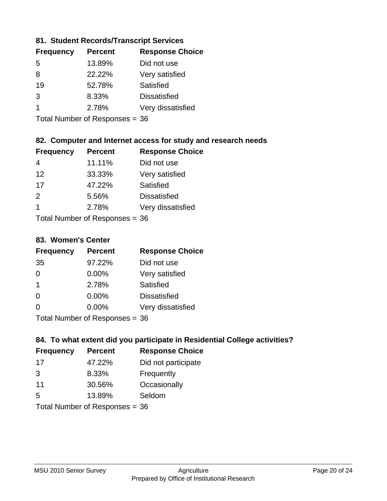### **81. Student Records/Transcript Services**

| <b>Percent</b> | <b>Response Choice</b> |
|----------------|------------------------|
| 13.89%         | Did not use            |
| 22.22%         | Very satisfied         |
| 52.78%         | Satisfied              |
| 8.33%          | <b>Dissatisfied</b>    |
| 2.78%          | Very dissatisfied      |
|                |                        |

Total Number of Responses = 36

# **82. Computer and Internet access for study and research needs**

| <b>Frequency</b>                       | <b>Percent</b> | <b>Response Choice</b> |  |
|----------------------------------------|----------------|------------------------|--|
| 4                                      | 11.11%         | Did not use            |  |
| 12                                     | 33.33%         | Very satisfied         |  |
| 17                                     | 47.22%         | Satisfied              |  |
| 2                                      | 5.56%          | <b>Dissatisfied</b>    |  |
| $\overline{1}$                         | 2.78%          | Very dissatisfied      |  |
| $\tau$ . $\tau$ . In the set of $\tau$ |                |                        |  |

Total Number of Responses = 36

#### **83. Women's Center**

| <b>Frequency</b>          | <b>Percent</b> | <b>Response Choice</b> |
|---------------------------|----------------|------------------------|
| 35                        | 97.22%         | Did not use            |
| $\Omega$                  | 0.00%          | Very satisfied         |
| $\overline{\mathbf{1}}$   | 2.78%          | <b>Satisfied</b>       |
| $\Omega$                  | $0.00\%$       | <b>Dissatisfied</b>    |
| $\Omega$                  | 0.00%          | Very dissatisfied      |
| Total Number of Desponses |                |                        |

Total Number of Responses = 36

### **84. To what extent did you participate in Residential College activities?**

| <b>Frequency</b> | <b>Percent</b>                  | <b>Response Choice</b> |  |
|------------------|---------------------------------|------------------------|--|
| 17               | 47.22%                          | Did not participate    |  |
| 3                | 8.33%                           | Frequently             |  |
| 11               | 30.56%                          | Occasionally           |  |
| .5               | 13.89%                          | Seldom                 |  |
|                  | $Total Number of Denonose = 26$ |                        |  |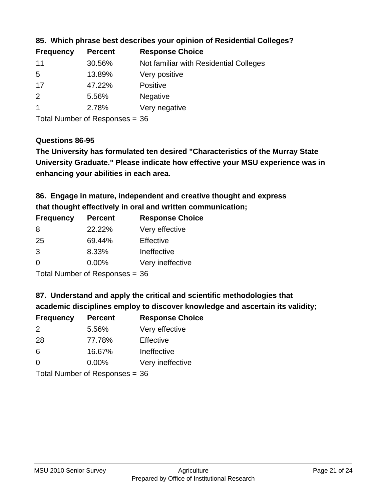| <b>Frequency</b> | <b>Percent</b> | <b>Response Choice</b>                 |
|------------------|----------------|----------------------------------------|
| 11               | 30.56%         | Not familiar with Residential Colleges |
| -5               | 13.89%         | Very positive                          |
| 17               | 47.22%         | Positive                               |
| $\overline{2}$   | 5.56%          | <b>Negative</b>                        |
|                  | 2.78%          | Very negative                          |
|                  |                |                                        |

**85. Which phrase best describes your opinion of Residential Colleges?**

Total Number of Responses = 36

#### **Questions 86-95**

**University Graduate." Please indicate how effective your MSU experience was in The University has formulated ten desired "Characteristics of the Murray State enhancing your abilities in each area.**

**86. Engage in mature, independent and creative thought and express that thought effectively in oral and written communication;**

| <b>Frequency</b> | <b>Percent</b> | <b>Response Choice</b> |
|------------------|----------------|------------------------|
| 8                | 22.22%         | Very effective         |
| 25               | 69.44%         | Effective              |
| $\mathcal{B}$    | 8.33%          | Ineffective            |
| $\Omega$         | $0.00\%$       | Very ineffective       |
|                  |                |                        |

Total Number of Responses = 36

**87. Understand and apply the critical and scientific methodologies that** 

**academic disciplines employ to discover knowledge and ascertain its validity;**

| <b>Frequency</b> | <b>Percent</b>            | <b>Response Choice</b> |
|------------------|---------------------------|------------------------|
| 2                | 5.56%                     | Very effective         |
| 28               | 77.78%                    | Effective              |
| 6                | 16.67%                    | Ineffective            |
| $\Omega$         | 0.00%                     | Very ineffective       |
|                  | Total Number of Deepersee |                        |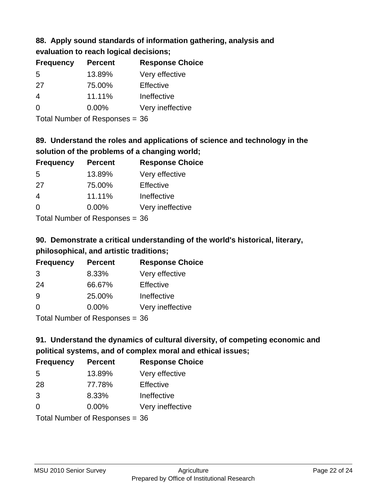# **88. Apply sound standards of information gathering, analysis and evaluation to reach logical decisions;**

| <b>Frequency</b> | <b>Percent</b> | <b>Response Choice</b> |
|------------------|----------------|------------------------|
| 5                | 13.89%         | Very effective         |
| 27               | 75.00%         | Effective              |
| $\overline{4}$   | 11.11%         | Ineffective            |
| $\Omega$         | $0.00\%$       | Very ineffective       |
|                  |                |                        |

Total Number of Responses = 36

# **89. Understand the roles and applications of science and technology in the solution of the problems of a changing world;**

| <b>Frequency</b>                        | <b>Percent</b> | <b>Response Choice</b> |
|-----------------------------------------|----------------|------------------------|
| 5                                       | 13.89%         | Very effective         |
| 27                                      | 75.00%         | Effective              |
| 4                                       | 11.11%         | Ineffective            |
| $\Omega$                                | 0.00%          | Very ineffective       |
| $T$ at all Message and $D$ are a second |                |                        |

Total Number of Responses = 36

# **90. Demonstrate a critical understanding of the world's historical, literary, philosophical, and artistic traditions;**

| <b>Frequency</b> | <b>Percent</b>             | <b>Response Choice</b> |
|------------------|----------------------------|------------------------|
| 3                | 8.33%                      | Very effective         |
| 24               | 66.67%                     | Effective              |
| 9                | 25.00%                     | Ineffective            |
| $\Omega$         | 0.00%                      | Very ineffective       |
|                  | Total Number of Desperance |                        |

Total Number of Responses = 36

# **91. Understand the dynamics of cultural diversity, of competing economic and political systems, and of complex moral and ethical issues;**

| <b>Frequency</b> | <b>Percent</b>                 | <b>Response Choice</b> |
|------------------|--------------------------------|------------------------|
| 5                | 13.89%                         | Very effective         |
| 28               | 77.78%                         | Effective              |
| 3                | 8.33%                          | Ineffective            |
| $\Omega$         | 0.00%                          | Very ineffective       |
|                  | Total Number of Responses = 36 |                        |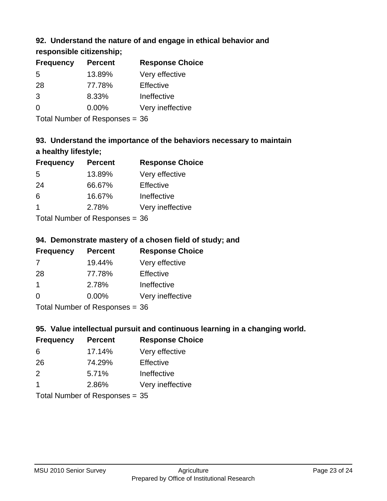# **92. Understand the nature of and engage in ethical behavior and**

**responsible citizenship;**

| <b>Frequency</b> | <b>Percent</b> | <b>Response Choice</b> |
|------------------|----------------|------------------------|
| .5               | 13.89%         | Very effective         |
| 28               | 77.78%         | Effective              |
| 3                | 8.33%          | Ineffective            |
| ∩                | $0.00\%$       | Very ineffective       |
|                  |                |                        |

Total Number of Responses = 36

# **93. Understand the importance of the behaviors necessary to maintain a healthy lifestyle;**

| <b>Frequency</b> | <b>Percent</b>             | <b>Response Choice</b> |
|------------------|----------------------------|------------------------|
| .5               | 13.89%                     | Very effective         |
| 24               | 66.67%                     | Effective              |
| 6                | 16.67%                     | Ineffective            |
| -1               | 2.78%                      | Very ineffective       |
|                  | Total Number of Desperance |                        |

Total Number of Responses = 36

# **94. Demonstrate mastery of a chosen field of study; and**

| <b>Frequency</b> | <b>Percent</b> | <b>Response Choice</b> |
|------------------|----------------|------------------------|
| 7                | 19.44%         | Very effective         |
| 28               | 77.78%         | Effective              |
|                  | 2.78%          | Ineffective            |
| $\Omega$         | 0.00%          | Very ineffective       |
|                  |                |                        |

Total Number of Responses = 36

# **95. Value intellectual pursuit and continuous learning in a changing world.**

| <b>Frequency</b> | <b>Percent</b>                                                                                                          | <b>Response Choice</b> |
|------------------|-------------------------------------------------------------------------------------------------------------------------|------------------------|
| 6                | 17.14%                                                                                                                  | Very effective         |
| 26               | 74.29%                                                                                                                  | Effective              |
| 2                | 5.71%                                                                                                                   | Ineffective            |
| -1               | 2.86%                                                                                                                   | Very ineffective       |
|                  | $\tau$ . $\tau$ . In the set of $\tau$ , $\tau$ , $\tau$ , $\tau$ , $\tau$ , $\tau$ , $\tau$ , $\tau$ , $\tau$ , $\tau$ |                        |